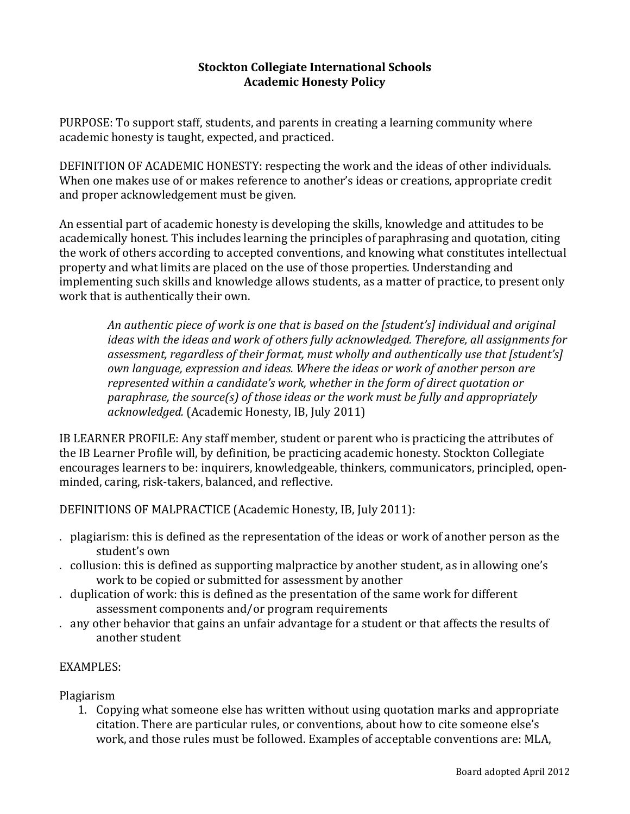#### **Stockton'Collegiate'International Schools Academic'Honesty Policy**

PURPOSE: To support staff, students, and parents in creating a learning community where academic honesty is taught, expected, and practiced.

DEFINITION OF ACADEMIC HONESTY: respecting the work and the ideas of other individuals. When one makes use of or makes reference to another's ideas or creations, appropriate credit and proper acknowledgement must be given.

An essential part of academic honesty is developing the skills, knowledge and attitudes to be academically honest. This includes learning the principles of paraphrasing and quotation, citing the work of others according to accepted conventions, and knowing what constitutes intellectual property and what limits are placed on the use of those properties. Understanding and implementing such skills and knowledge allows students, as a matter of practice, to present only work that is authentically their own.

*An#authentic#piece#of#work#is#one#that#is#based#on#the#[student's] individual#and original# ideas with the ideas and work of others fully acknowledged. Therefore, all assignments for* assessment, regardless of their format, must wholly and authentically use that [student's] *own language, expression and ideas. Where the ideas or work of another person are represented within a candidate's work, whether in the form of direct quotation or paraphrase, the source(s) of those ideas or the work must be fully and appropriately* acknowledged. (Academic Honesty, IB, July 2011)

IB LEARNER PROFILE: Any staff member, student or parent who is practicing the attributes of the IB Learner Profile will, by definition, be practicing academic honesty. Stockton Collegiate encourages learners to be: inquirers, knowledgeable, thinkers, communicators, principled, openminded, caring, risk-takers, balanced, and reflective.

DEFINITIONS OF MALPRACTICE (Academic Honesty, IB, July 2011):

- . plagiarism: this is defined as the representation of the ideas or work of another person as the student's own
- . collusion: this is defined as supporting malpractice by another student, as in allowing one's work to be copied or submitted for assessment by another
- . duplication of work: this is defined as the presentation of the same work for different assessment components and/or program requirements
- . any other behavior that gains an unfair advantage for a student or that affects the results of another student

# EXAMPLES:

Plagiarism

1. Copying what someone else has written without using quotation marks and appropriate citation. There are particular rules, or conventions, about how to cite someone else's work, and those rules must be followed. Examples of acceptable conventions are: MLA,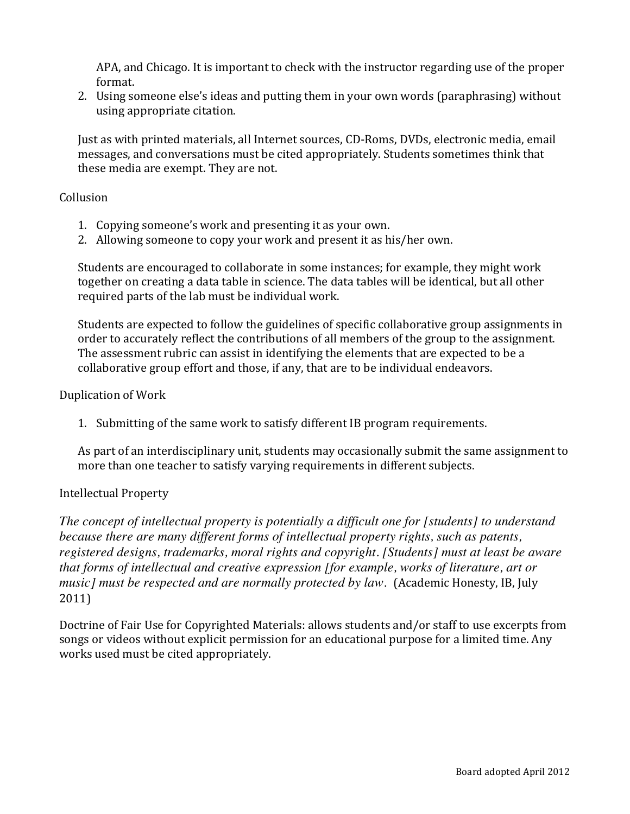APA, and Chicago. It is important to check with the instructor regarding use of the proper format.

2. Using someone else's ideas and putting them in your own words (paraphrasing) without using appropriate citation.

Just as with printed materials, all Internet sources, CD-Roms, DVDs, electronic media, email messages, and conversations must be cited appropriately. Students sometimes think that these media are exempt. They are not.

#### Collusion

- 1. Copying someone's work and presenting it as your own.
- 2. Allowing someone to copy your work and present it as his/her own.

Students are encouraged to collaborate in some instances; for example, they might work together on creating a data table in science. The data tables will be identical, but all other required parts of the lab must be individual work.

Students are expected to follow the guidelines of specific collaborative group assignments in order to accurately reflect the contributions of all members of the group to the assignment. The assessment rubric can assist in identifying the elements that are expected to be a collaborative group effort and those, if any, that are to be individual endeavors.

#### Duplication of Work

1. Submitting of the same work to satisfy different IB program requirements.

As part of an interdisciplinary unit, students may occasionally submit the same assignment to more than one teacher to satisfy varying requirements in different subjects.

#### Intellectual Property

*The concept of intellectual property is potentially a difficult one for [students] to understand because there are many different forms of intellectual property rights, such as patents, registered designs, trademarks, moral rights and copyright. [Students] must at least be aware that forms of intellectual and creative expression [for example, works of literature, art or music] must be respected and are normally protected by law.* (Academic Honesty, IB, July 2011)

Doctrine of Fair Use for Copyrighted Materials: allows students and/or staff to use excerpts from songs or videos without explicit permission for an educational purpose for a limited time. Any works used must be cited appropriately.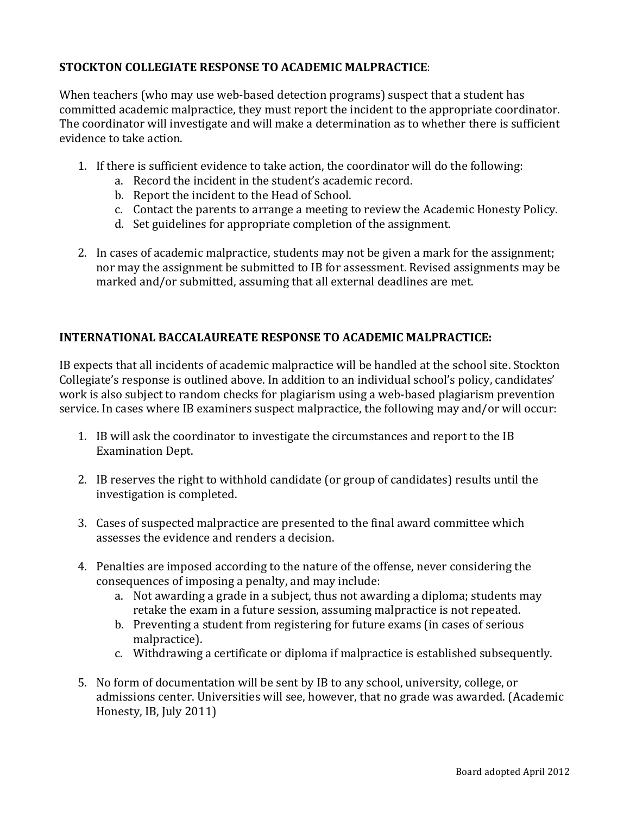## STOCKTON COLLEGIATE RESPONSE TO ACADEMIC MALPRACTICE:

When teachers (who may use web-based detection programs) suspect that a student has committed academic malpractice, they must report the incident to the appropriate coordinator. The coordinator will investigate and will make a determination as to whether there is sufficient evidence to take action.

- 1. If there is sufficient evidence to take action, the coordinator will do the following:
	- a. Record the incident in the student's academic record.
	- b. Report the incident to the Head of School.
	- c. Contact the parents to arrange a meeting to review the Academic Honesty Policy.
	- d. Set guidelines for appropriate completion of the assignment.
- 2. In cases of academic malpractice, students may not be given a mark for the assignment; nor may the assignment be submitted to IB for assessment. Revised assignments may be marked and/or submitted, assuming that all external deadlines are met.

## **INTERNATIONAL'BACCALAUREATE'RESPONSE'TO'ACADEMIC'MALPRACTICE:**

IB expects that all incidents of academic malpractice will be handled at the school site. Stockton Collegiate's response is outlined above. In addition to an individual school's policy, candidates' work is also subject to random checks for plagiarism using a web-based plagiarism prevention service. In cases where IB examiners suspect malpractice, the following may and/or will occur:

- 1. IB will ask the coordinator to investigate the circumstances and report to the IB Examination Dept.
- 2. IB reserves the right to withhold candidate (or group of candidates) results until the investigation is completed.
- 3. Cases of suspected malpractice are presented to the final award committee which assesses the evidence and renders a decision.
- 4. Penalties are imposed according to the nature of the offense, never considering the consequences of imposing a penalty, and may include:
	- a. Not awarding a grade in a subject, thus not awarding a diploma; students may retake the exam in a future session, assuming malpractice is not repeated.
	- b. Preventing a student from registering for future exams (in cases of serious malpractice).
	- c. Withdrawing a certificate or diploma if malpractice is established subsequently.
- 5. No form of documentation will be sent by IB to any school, university, college, or admissions center. Universities will see, however, that no grade was awarded. (Academic Honesty, IB, July 2011)